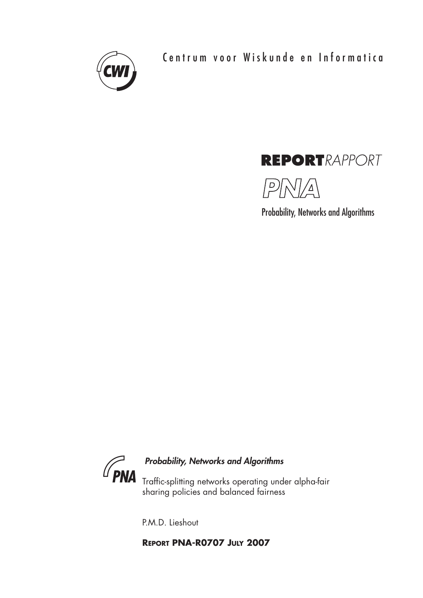

Centrum voor Wiskunde en Informatica

# **REPORTRAPPORT**



Probability, Networks and Algorithms



## *Probability, Networks and Algorithms*

Traffic-splitting networks operating under alpha-fair sharing policies and balanced fairness

P.M.D. Lieshout

**REPORT PNA-R0707 JULY 2007**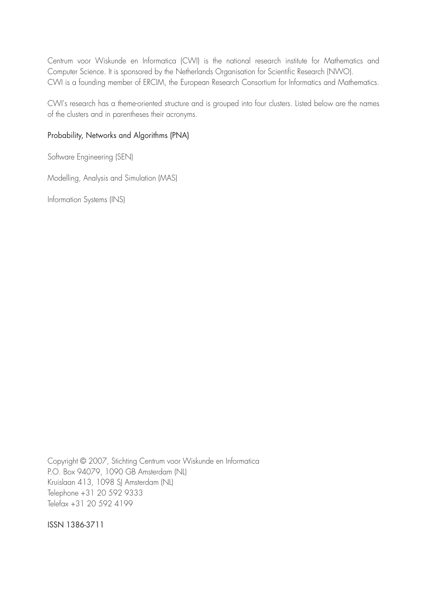Centrum voor Wiskunde en Informatica (CWI) is the national research institute for Mathematics and Computer Science. It is sponsored by the Netherlands Organisation for Scientific Research (NWO). CWI is a founding member of ERCIM, the European Research Consortium for Informatics and Mathematics.

CWI's research has a theme-oriented structure and is grouped into four clusters. Listed below are the names of the clusters and in parentheses their acronyms.

## Probability, Networks and Algorithms (PNA)

Software Engineering (SEN)

Modelling, Analysis and Simulation (MAS)

Information Systems (INS)

Copyright © 2007, Stichting Centrum voor Wiskunde en Informatica P.O. Box 94079, 1090 GB Amsterdam (NL) Kruislaan 413, 1098 SJ Amsterdam (NL) Telephone +31 20 592 9333 Telefax +31 20 592 4199

ISSN 1386-3711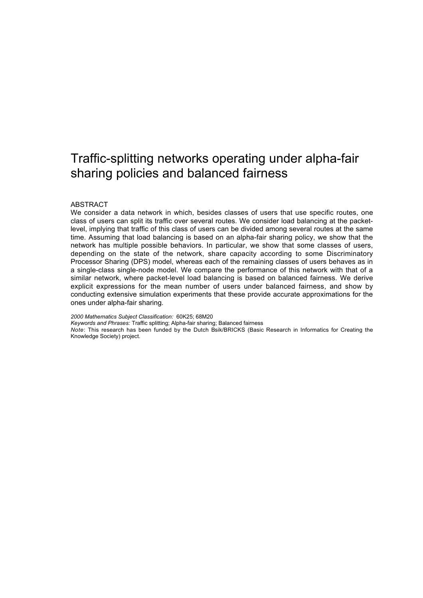## Traffic-splitting networks operating under alpha-fair sharing policies and balanced fairness

#### ABSTRACT

We consider a data network in which, besides classes of users that use specific routes, one class of users can split its traffic over several routes. We consider load balancing at the packetlevel, implying that traffic of this class of users can be divided among several routes at the same time. Assuming that load balancing is based on an alpha-fair sharing policy, we show that the network has multiple possible behaviors. In particular, we show that some classes of users, depending on the state of the network, share capacity according to some Discriminatory Processor Sharing (DPS) model, whereas each of the remaining classes of users behaves as in a single-class single-node model. We compare the performance of this network with that of a similar network, where packet-level load balancing is based on balanced fairness. We derive explicit expressions for the mean number of users under balanced fairness, and show by conducting extensive simulation experiments that these provide accurate approximations for the ones under alpha-fair sharing.

*2000 Mathematics Subject Classification:* 60K25; 68M20

*Keywords and Phrases:* Traffic splitting; Alpha-fair sharing; Balanced fairness

*Note*: This research has been funded by the Dutch Bsik/BRICKS (Basic Research in Informatics for Creating the Knowledge Society) project.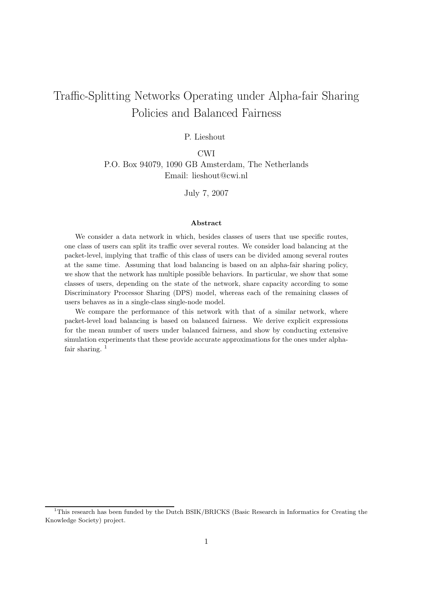## Traffic-Splitting Networks Operating under Alpha-fair Sharing Policies and Balanced Fairness

#### P. Lieshout

CWI P.O. Box 94079, 1090 GB Amsterdam, The Netherlands Email: lieshout@cwi.nl

July 7, 2007

#### Abstract

We consider a data network in which, besides classes of users that use specific routes, one class of users can split its traffic over several routes. We consider load balancing at the packet-level, implying that traffic of this class of users can be divided among several routes at the same time. Assuming that load balancing is based on an alpha-fair sharing policy, we show that the network has multiple possible behaviors. In particular, we show that some classes of users, depending on the state of the network, share capacity according to some Discriminatory Processor Sharing (DPS) model, whereas each of the remaining classes of users behaves as in a single-class single-node model.

We compare the performance of this network with that of a similar network, where packet-level load balancing is based on balanced fairness. We derive explicit expressions for the mean number of users under balanced fairness, and show by conducting extensive simulation experiments that these provide accurate approximations for the ones under alphafair sharing.  $1$ 

<sup>&</sup>lt;sup>1</sup>This research has been funded by the Dutch BSIK/BRICKS (Basic Research in Informatics for Creating the Knowledge Society) project.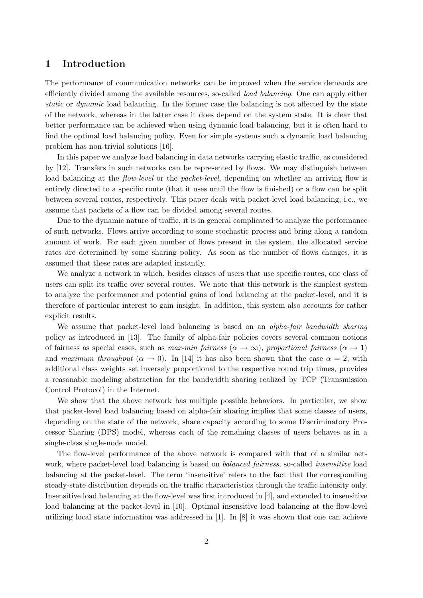## 1 Introduction

The performance of communication networks can be improved when the service demands are efficiently divided among the available resources, so-called load balancing. One can apply either static or dynamic load balancing. In the former case the balancing is not affected by the state of the network, whereas in the latter case it does depend on the system state. It is clear that better performance can be achieved when using dynamic load balancing, but it is often hard to find the optimal load balancing policy. Even for simple systems such a dynamic load balancing problem has non-trivial solutions [16].

In this paper we analyze load balancing in data networks carrying elastic traffic, as considered by [12]. Transfers in such networks can be represented by flows. We may distinguish between load balancing at the *flow-level* or the *packet-level*, depending on whether an arriving flow is entirely directed to a specific route (that it uses until the flow is finished) or a flow can be split between several routes, respectively. This paper deals with packet-level load balancing, i.e., we assume that packets of a flow can be divided among several routes.

Due to the dynamic nature of traffic, it is in general complicated to analyze the performance of such networks. Flows arrive according to some stochastic process and bring along a random amount of work. For each given number of flows present in the system, the allocated service rates are determined by some sharing policy. As soon as the number of flows changes, it is assumed that these rates are adapted instantly.

We analyze a network in which, besides classes of users that use specific routes, one class of users can split its traffic over several routes. We note that this network is the simplest system to analyze the performance and potential gains of load balancing at the packet-level, and it is therefore of particular interest to gain insight. In addition, this system also accounts for rather explicit results.

We assume that packet-level load balancing is based on an *alpha-fair bandwidth sharing* policy as introduced in [13]. The family of alpha-fair policies covers several common notions of fairness as special cases, such as max-min fairness ( $\alpha \to \infty$ ), proportional fairness ( $\alpha \to 1$ ) and maximum throughput  $(\alpha \to 0)$ . In [14] it has also been shown that the case  $\alpha = 2$ , with additional class weights set inversely proportional to the respective round trip times, provides a reasonable modeling abstraction for the bandwidth sharing realized by TCP (Transmission Control Protocol) in the Internet.

We show that the above network has multiple possible behaviors. In particular, we show that packet-level load balancing based on alpha-fair sharing implies that some classes of users, depending on the state of the network, share capacity according to some Discriminatory Processor Sharing (DPS) model, whereas each of the remaining classes of users behaves as in a single-class single-node model.

The flow-level performance of the above network is compared with that of a similar network, where packet-level load balancing is based on *balanced fairness*, so-called *insensitive* load balancing at the packet-level. The term 'insensitive' refers to the fact that the corresponding steady-state distribution depends on the traffic characteristics through the traffic intensity only. Insensitive load balancing at the flow-level was first introduced in [4], and extended to insensitive load balancing at the packet-level in [10]. Optimal insensitive load balancing at the flow-level utilizing local state information was addressed in [1]. In [8] it was shown that one can achieve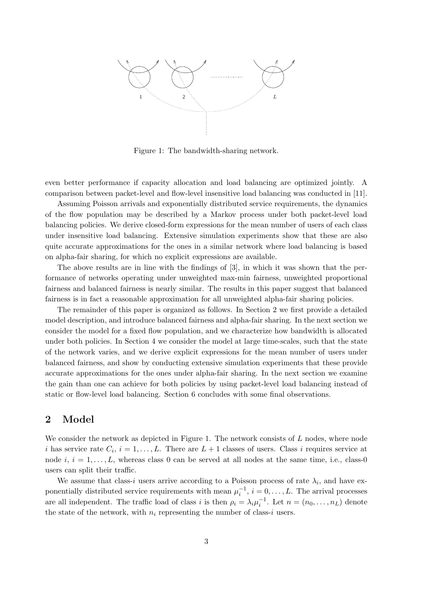

Figure 1: The bandwidth-sharing network.

even better performance if capacity allocation and load balancing are optimized jointly. A comparison between packet-level and flow-level insensitive load balancing was conducted in [11].

Assuming Poisson arrivals and exponentially distributed service requirements, the dynamics of the flow population may be described by a Markov process under both packet-level load balancing policies. We derive closed-form expressions for the mean number of users of each class under insensitive load balancing. Extensive simulation experiments show that these are also quite accurate approximations for the ones in a similar network where load balancing is based on alpha-fair sharing, for which no explicit expressions are available.

The above results are in line with the findings of [3], in which it was shown that the performance of networks operating under unweighted max-min fairness, unweighted proportional fairness and balanced fairness is nearly similar. The results in this paper suggest that balanced fairness is in fact a reasonable approximation for all unweighted alpha-fair sharing policies.

The remainder of this paper is organized as follows. In Section 2 we first provide a detailed model description, and introduce balanced fairness and alpha-fair sharing. In the next section we consider the model for a fixed flow population, and we characterize how bandwidth is allocated under both policies. In Section 4 we consider the model at large time-scales, such that the state of the network varies, and we derive explicit expressions for the mean number of users under balanced fairness, and show by conducting extensive simulation experiments that these provide accurate approximations for the ones under alpha-fair sharing. In the next section we examine the gain than one can achieve for both policies by using packet-level load balancing instead of static or flow-level load balancing. Section 6 concludes with some final observations.

## 2 Model

We consider the network as depicted in Figure 1. The network consists of  $L$  nodes, where node i has service rate  $C_i$ ,  $i = 1, ..., L$ . There are  $L + 1$  classes of users. Class i requires service at node i,  $i = 1, \ldots, L$ , whereas class 0 can be served at all nodes at the same time, i.e., class-0 users can split their traffic.

We assume that class-*i* users arrive according to a Poisson process of rate  $\lambda_i$ , and have exponentially distributed service requirements with mean  $\mu_i^{-1}$ ,  $i = 0, \ldots, L$ . The arrival processes are all independent. The traffic load of class i is then  $\rho_i = \lambda_i \mu_i^{-1}$ . Let  $n = (n_0, \ldots, n_L)$  denote the state of the network, with  $n_i$  representing the number of class-i users.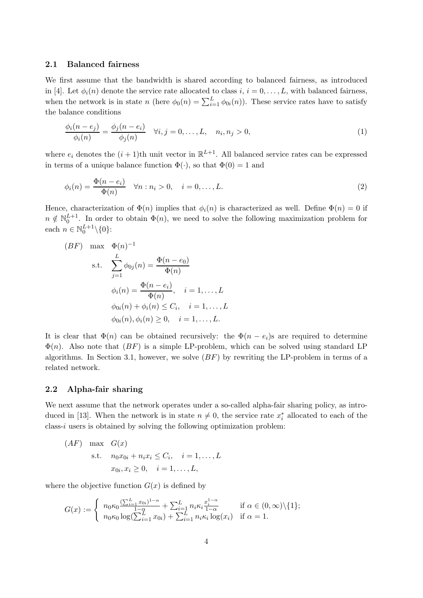#### 2.1 Balanced fairness

We first assume that the bandwidth is shared according to balanced fairness, as introduced in [4]. Let  $\phi_i(n)$  denote the service rate allocated to class  $i, i = 0, \ldots, L$ , with balanced fairness, when the network is in state n (here  $\phi_0(n) = \sum_{i=1}^L \phi_{0i}(n)$ ). These service rates have to satisfy the balance conditions

$$
\frac{\phi_i(n-e_j)}{\phi_i(n)} = \frac{\phi_j(n-e_i)}{\phi_j(n)} \quad \forall i, j = 0, \dots, L, \quad n_i, n_j > 0,
$$
\n(1)

where  $e_i$  denotes the  $(i + 1)$ th unit vector in  $\mathbb{R}^{L+1}$ . All balanced service rates can be expressed in terms of a unique balance function  $\Phi(\cdot)$ , so that  $\Phi(0) = 1$  and

$$
\phi_i(n) = \frac{\Phi(n - e_i)}{\Phi(n)} \quad \forall n : n_i > 0, \quad i = 0, \dots, L. \tag{2}
$$

Hence, characterization of  $\Phi(n)$  implies that  $\phi_i(n)$  is characterized as well. Define  $\Phi(n) = 0$  if  $n \notin \mathbb{N}_0^{L+1}$ . In order to obtain  $\Phi(n)$ , we need to solve the following maximization problem for each  $n \in \mathbb{N}_0^{L+1} \backslash \{0\}$ :

$$
(BF) \max \Phi(n)^{-1}
$$
  
s.t. 
$$
\sum_{j=1}^{L} \phi_{0j}(n) = \frac{\Phi(n - e_0)}{\Phi(n)}
$$

$$
\phi_i(n) = \frac{\Phi(n - e_i)}{\Phi(n)}, \quad i = 1, ..., L
$$

$$
\phi_{0i}(n) + \phi_i(n) \le C_i, \quad i = 1, ..., L
$$

$$
\phi_{0i}(n), \phi_i(n) \ge 0, \quad i = 1, ..., L.
$$

It is clear that  $\Phi(n)$  can be obtained recursively: the  $\Phi(n - e_i)$ s are required to determine  $\Phi(n)$ . Also note that  $(BF)$  is a simple LP-problem, which can be solved using standard LP algorithms. In Section 3.1, however, we solve  $(BF)$  by rewriting the LP-problem in terms of a related network.

#### 2.2 Alpha-fair sharing

We next assume that the network operates under a so-called alpha-fair sharing policy, as introduced in [13]. When the network is in state  $n \neq 0$ , the service rate  $x_i^*$  $i$ <sub>i</sub> allocated to each of the class-i users is obtained by solving the following optimization problem:

$$
(AF) \max G(x)
$$
  
s.t.  $n_0x_{0i} + n_ix_i \leq C_i, \quad i = 1, ..., L$   
 $x_{0i}, x_i \geq 0, \quad i = 1, ..., L,$ 

where the objective function  $G(x)$  is defined by

$$
G(x) := \begin{cases} n_0 \kappa_0 \frac{(\sum_{i=1}^L x_{0i})^{1-\alpha}}{1-\alpha} + \sum_{i=1}^L n_i \kappa_i \frac{x_i^{1-\alpha}}{1-\alpha} & \text{if } \alpha \in (0, \infty) \setminus \{1\}; \\ n_0 \kappa_0 \log(\sum_{i=1}^L x_{0i}) + \sum_{i=1}^L n_i \kappa_i \log(x_i) & \text{if } \alpha = 1. \end{cases}
$$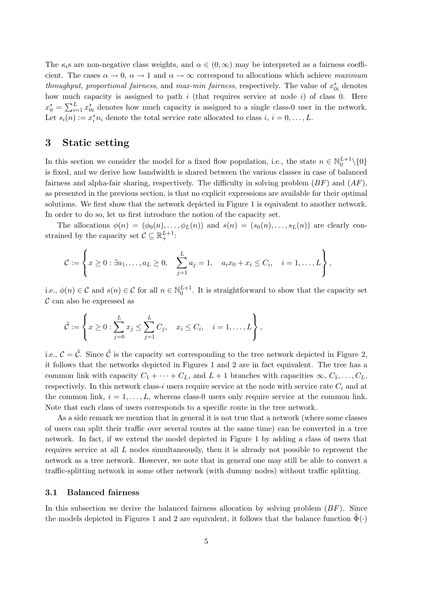The  $\kappa_i$ s are non-negative class weights, and  $\alpha \in (0,\infty)$  may be interpreted as a fairness coefficient. The cases  $\alpha \to 0$ ,  $\alpha \to 1$  and  $\alpha \to \infty$  correspond to allocations which achieve maximum *throughput, proportional fairness,* and *max-min fairness,* respectively. The value of  $x_{0i}^*$  denotes how much capacity is assigned to path  $i$  (that requires service at node  $i$ ) of class 0. Here  $x_0^* = \sum_{i=1}^L x_0^*$  $\delta_{0i}$  denotes how much capacity is assigned to a single class-0 user in the network. Let  $s_i(n) := x_i^* n_i$  denote the total service rate allocated to class  $i, i = 0, \ldots, L$ .

### 3 Static setting

In this section we consider the model for a fixed flow population, i.e., the state  $n \in \mathbb{N}_0^{L+1} \setminus \{0\}$ is fixed, and we derive how bandwidth is shared between the various classes in case of balanced fairness and alpha-fair sharing, respectively. The difficulty in solving problem  $(BF)$  and  $(AF)$ . as presented in the previous section, is that no explicit expressions are available for their optimal solutions. We first show that the network depicted in Figure 1 is equivalent to another network. In order to do so, let us first introduce the notion of the capacity set.

The allocations  $\phi(n) = (\phi_0(n), \ldots, \phi_L(n))$  and  $s(n) = (s_0(n), \ldots, s_L(n))$  are clearly constrained by the capacity set  $C \subseteq \mathbb{R}^{L+1}_+$ :

$$
C := \left\{ x \geq 0 : \exists a_1, \dots, a_L \geq 0, \quad \sum_{j=1}^L a_j = 1, \quad a_i x_0 + x_i \leq C_i, \quad i = 1, \dots, L \right\},\
$$

i.e.,  $\phi(n) \in \mathcal{C}$  and  $s(n) \in \mathcal{C}$  for all  $n \in \mathbb{N}_0^{L+1}$ . It is straightforward to show that the capacity set  $\mathcal C$  can also be expressed as

$$
\tilde{\mathcal{C}} := \left\{ x \geq 0 : \sum_{j=0}^{L} x_j \leq \sum_{j=1}^{L} C_j, \quad x_i \leq C_i, \quad i = 1, \dots, L \right\},\
$$

i.e.,  $\mathcal{C} = \tilde{\mathcal{C}}$ . Since  $\tilde{\mathcal{C}}$  is the capacity set corresponding to the tree network depicted in Figure 2, it follows that the networks depicted in Figures 1 and 2 are in fact equivalent. The tree has a common link with capacity  $C_1 + \cdots + C_L$ , and  $L + 1$  branches with capacities  $\infty, C_1, \ldots, C_L$ , respectively. In this network class-i users require service at the node with service rate  $C_i$  and at the common link,  $i = 1, \ldots, L$ , whereas class-0 users only require service at the common link. Note that each class of users corresponds to a specific route in the tree network.

As a side remark we mention that in general it is not true that a network (where some classes of users can split their traffic over several routes at the same time) can be converted in a tree network. In fact, if we extend the model depicted in Figure 1 by adding a class of users that requires service at all  $L$  nodes simultaneously, then it is already not possible to represent the network as a tree network. However, we note that in general one may still be able to convert a traffic-splitting network in some other network (with dummy nodes) without traffic splitting.

#### 3.1 Balanced fairness

In this subsection we derive the balanced fairness allocation by solving problem  $(BF)$ . Since the models depicted in Figures 1 and 2 are equivalent, it follows that the balance function  $\tilde{\Phi}(\cdot)$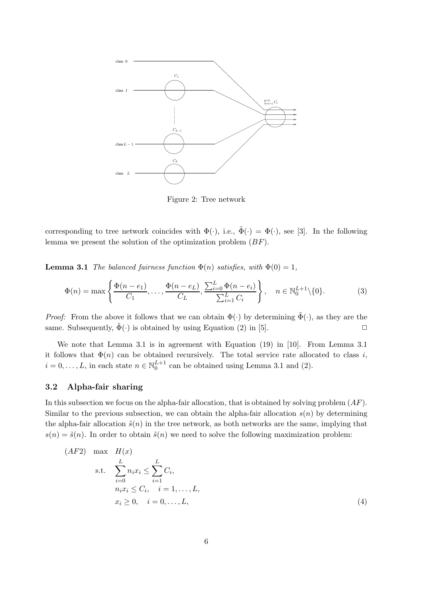

Figure 2: Tree network

corresponding to tree network coincides with  $\Phi(\cdot)$ , i.e.,  $\tilde{\Phi}(\cdot) = \Phi(\cdot)$ , see [3]. In the following lemma we present the solution of the optimization problem  $(BF)$ .

**Lemma 3.1** The balanced fairness function  $\Phi(n)$  satisfies, with  $\Phi(0) = 1$ ,

$$
\Phi(n) = \max\left\{\frac{\Phi(n - e_1)}{C_1}, \dots, \frac{\Phi(n - e_L)}{C_L}, \frac{\sum_{i=0}^{L} \Phi(n - e_i)}{\sum_{i=1}^{L} C_i}\right\}, \quad n \in \mathbb{N}_0^{L+1} \setminus \{0\}.
$$
 (3)

*Proof:* From the above it follows that we can obtain  $\Phi(\cdot)$  by determining  $\tilde{\Phi}(\cdot)$ , as they are the same. Subsequently,  $\tilde{\Phi}(\cdot)$  is obtained by using Equation (2) in [5].

We note that Lemma 3.1 is in agreement with Equation (19) in [10]. From Lemma 3.1 it follows that  $\Phi(n)$  can be obtained recursively. The total service rate allocated to class i,  $i = 0, \ldots, L$ , in each state  $n \in \mathbb{N}_0^{L+1}$  can be obtained using Lemma 3.1 and (2).

### 3.2 Alpha-fair sharing

In this subsection we focus on the alpha-fair allocation, that is obtained by solving problem  $(AF)$ . Similar to the previous subsection, we can obtain the alpha-fair allocation  $s(n)$  by determining the alpha-fair allocation  $\tilde{s}(n)$  in the tree network, as both networks are the same, implying that  $s(n) = \tilde{s}(n)$ . In order to obtain  $\tilde{s}(n)$  we need to solve the following maximization problem:

$$
(AF2) \max H(x)
$$
  
s.t. 
$$
\sum_{i=0}^{L} n_i x_i \le \sum_{i=1}^{L} C_i,
$$
  

$$
n_i x_i \le C_i, \quad i = 1, ..., L,
$$
  

$$
x_i \ge 0, \quad i = 0, ..., L,
$$
 (4)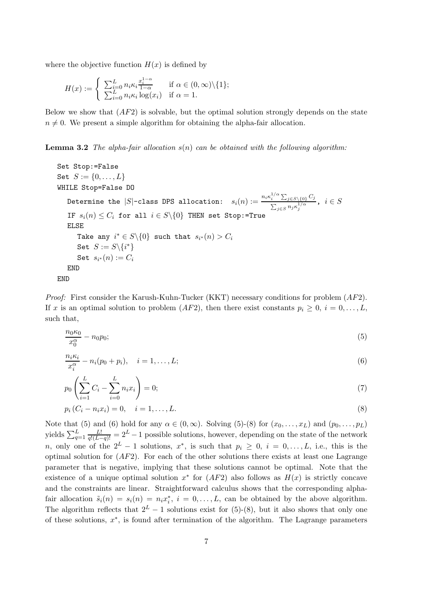where the objective function  $H(x)$  is defined by

$$
H(x) := \begin{cases} \sum_{i=0}^{L} n_i \kappa_i \frac{x_i^{1-\alpha}}{1-\alpha} & \text{if } \alpha \in (0, \infty) \setminus \{1\}; \\ \sum_{i=0}^{L} n_i \kappa_i \log(x_i) & \text{if } \alpha = 1. \end{cases}
$$

Below we show that  $(AF2)$  is solvable, but the optimal solution strongly depends on the state  $n \neq 0$ . We present a simple algorithm for obtaining the alpha-fair allocation.

**Lemma 3.2** The alpha-fair allocation  $s(n)$  can be obtained with the following algorithm:

```
Set Stop:=False
Set S := \{0, \ldots, L\}WHILE Stop=False DO
     Determine the |S|-class DPS allocation: s_i(n) := \frac{n_i \kappa_i^{1/\alpha} \sum_{j \in S \setminus \{0\}} C_j}{\sum_{j \in S \setminus \{0\}}}\frac{p_i - \sum_{j \in S \setminus \{0\}} \cup_j}{\sum_{j \in S} n_j \kappa_j^{1/\alpha}}, i \in SIF s_i(n) \leq C_i for all i \in S \setminus \{0\} THEN set Stop:=True
    ELSE
          Take any i^* \in S \backslash \{0\} such that s_{i^*}(n) > C_iSet S := S \setminus \{i^*\}Set s_{i^\ast}(n):=C_iEND
END
```
*Proof:* First consider the Karush-Kuhn-Tucker (KKT) necessary conditions for problem  $AF2$ ). If x is an optimal solution to problem  $AF2$ , then there exist constants  $p_i \geq 0$ ,  $i = 0, \ldots, L$ such that,

$$
\frac{n_0 \kappa_0}{x_0^{\alpha}} - n_0 p_0; \tag{5}
$$

$$
\frac{n_i \kappa_i}{x_i^{\alpha}} - n_i (p_0 + p_i), \quad i = 1, \dots, L; \tag{6}
$$

$$
p_0 \left( \sum_{i=1}^{L} C_i - \sum_{i=0}^{L} n_i x_i \right) = 0; \tag{7}
$$

$$
p_i(C_i - n_i x_i) = 0, \quad i = 1, \dots, L.
$$
\n(8)

Note that (5) and (6) hold for any  $\alpha \in (0,\infty)$ . Solving (5)-(8) for  $(x_0,\ldots,x_L)$  and  $(p_0,\ldots,p_L)$ yields  $\sum_{q=1}^{L} \frac{L!}{q!(L-q)!} = 2^L - 1$  possible solutions, however, depending on the state of the network n, only one of the  $2^L - 1$  solutions,  $x^*$ , is such that  $p_i \geq 0$ ,  $i = 0, \ldots, L$ , i.e., this is the optimal solution for  $AF2$ ). For each of the other solutions there exists at least one Lagrange parameter that is negative, implying that these solutions cannot be optimal. Note that the existence of a unique optimal solution  $x^*$  for  $(AF2)$  also follows as  $H(x)$  is strictly concave and the constraints are linear. Straightforward calculus shows that the corresponding alphafair allocation  $\tilde{s}_i(n) = s_i(n) = n_i x_i^*$  $i, i = 0, \ldots, L$ , can be obtained by the above algorithm. The algorithm reflects that  $2^L - 1$  solutions exist for (5)-(8), but it also shows that only one of these solutions,  $x^*$ , is found after termination of the algorithm. The Lagrange parameters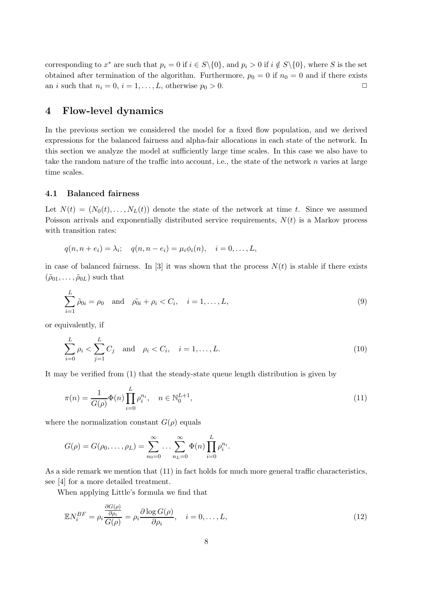corresponding to  $x^*$  are such that  $p_i = 0$  if  $i \in S \setminus \{0\}$ , and  $p_i > 0$  if  $i \notin S \setminus \{0\}$ , where S is the set obtained after termination of the algorithm. Furthermore,  $p_0 = 0$  if  $n_0 = 0$  and if there exists an *i* such that  $n_i = 0$ ,  $i = 1, ..., L$ , otherwise  $p_0 > 0$ .

## 4 Flow-level dynamics

In the previous section we considered the model for a fixed flow population, and we derived expressions for the balanced fairness and alpha-fair allocations in each state of the network. In this section we analyze the model at sufficiently large time scales. In this case we also have to take the random nature of the traffic into account, i.e., the state of the network  $n$  varies at large time scales.

### 4.1 Balanced fairness

Let  $N(t) = (N_0(t), \ldots, N_L(t))$  denote the state of the network at time t. Since we assumed Poisson arrivals and exponentially distributed service requirements,  $N(t)$  is a Markov process with transition rates:

$$
q(n, n + e_i) = \lambda_i;
$$
  $q(n, n - e_i) = \mu_i \phi_i(n),$   $i = 0, ..., L,$ 

in case of balanced fairness. In [3] it was shown that the process  $N(t)$  is stable if there exists  $(\tilde{\rho}_{01}, \ldots, \tilde{\rho}_{0L})$  such that

$$
\sum_{i=1}^{L} \tilde{\rho}_{0i} = \rho_0 \text{ and } \tilde{\rho}_{0i} + \rho_i < C_i, \quad i = 1, \dots, L,\tag{9}
$$

or equivalently, if

$$
\sum_{i=0}^{L} \rho_i < \sum_{j=1}^{L} C_j \quad \text{and} \quad \rho_i < C_i, \quad i = 1, \dots, L. \tag{10}
$$

It may be verified from (1) that the steady-state queue length distribution is given by

$$
\pi(n) = \frac{1}{G(\rho)} \Phi(n) \prod_{i=0}^{L} \rho_i^{n_i}, \quad n \in \mathbb{N}_0^{L+1},
$$
\n(11)

where the normalization constant  $G(\rho)$  equals

$$
G(\rho) = G(\rho_0, ..., \rho_L) = \sum_{n_0=0}^{\infty} ... \sum_{n_L=0}^{\infty} \Phi(n) \prod_{i=0}^{L} \rho_i^{n_i}.
$$

As a side remark we mention that (11) in fact holds for much more general traffic characteristics, see [4] for a more detailed treatment.

When applying Little's formula we find that

$$
\mathbb{E}N_i^{BF} = \rho_i \frac{\frac{\partial G(\rho)}{\partial \rho_i}}{G(\rho)} = \rho_i \frac{\partial \log G(\rho)}{\partial \rho_i}, \quad i = 0, \dots, L,
$$
\n(12)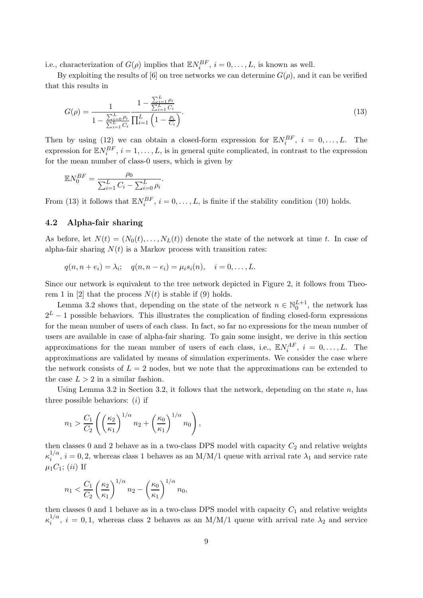i.e., characterization of  $G(\rho)$  implies that  $\mathbb{E} N_i^{BF}$ ,  $i = 0, \ldots, L$ , is known as well.

By exploiting the results of [6] on tree networks we can determine  $G(\rho)$ , and it can be verified that this results in

$$
G(\rho) = \frac{1}{1 - \frac{\sum_{i=1}^{L} \rho_i}{\sum_{i=1}^{L} C_i}} \frac{1 - \frac{\sum_{i=1}^{L} \rho_i}{\sum_{i=1}^{L} C_i}}{\prod_{i=1}^{L} \left(1 - \frac{\rho_i}{C_i}\right)}.
$$
\n(13)

Then by using (12) we can obtain a closed-form expression for  $\mathbb{E} N_i^{BF}$ ,  $i = 0, ..., L$ . The expression for  $\mathbb{E} N_i^{BF}$ ,  $i = 1, ..., L$ , is in general quite complicated, in contrast to the expression for the mean number of class-0 users, which is given by

$$
\mathbb{E}N_0^{BF} = \frac{\rho_0}{\sum_{i=1}^L C_i - \sum_{i=0}^L \rho_i}.
$$

From (13) it follows that  $\mathbb{E}N_i^{BF}$ ,  $i = 0, ..., L$ , is finite if the stability condition (10) holds.

#### 4.2 Alpha-fair sharing

As before, let  $N(t) = (N_0(t), \ldots, N_L(t))$  denote the state of the network at time t. In case of alpha-fair sharing  $N(t)$  is a Markov process with transition rates:

$$
q(n, n + e_i) = \lambda_i;
$$
  $q(n, n - e_i) = \mu_i s_i(n),$   $i = 0, ..., L.$ 

Since our network is equivalent to the tree network depicted in Figure 2, it follows from Theorem 1 in [2] that the process  $N(t)$  is stable if (9) holds.

Lemma 3.2 shows that, depending on the state of the network  $n \in \mathbb{N}_0^{L+1}$ , the network has  $2^L - 1$  possible behaviors. This illustrates the complication of finding closed-form expressions for the mean number of users of each class. In fact, so far no expressions for the mean number of users are available in case of alpha-fair sharing. To gain some insight, we derive in this section approximations for the mean number of users of each class, i.e.,  $\mathbb{E} N_i^{AF}$ ,  $i = 0, ..., L$ . The approximations are validated by means of simulation experiments. We consider the case where the network consists of  $L = 2$  nodes, but we note that the approximations can be extended to the case  $L > 2$  in a similar fashion.

Using Lemma 3.2 in Section 3.2, it follows that the network, depending on the state n, has three possible behaviors:  $(i)$  if

$$
n_1 > \frac{C_1}{C_2} \left( \left(\frac{\kappa_2}{\kappa_1}\right)^{1/\alpha} n_2 + \left(\frac{\kappa_0}{\kappa_1}\right)^{1/\alpha} n_0 \right),
$$

then classes 0 and 2 behave as in a two-class DPS model with capacity  $C_2$  and relative weights  $\kappa_i^{1/\alpha}$  $i^{1/\alpha}, i = 0, 2$ , whereas class 1 behaves as an M/M/1 queue with arrival rate  $\lambda_1$  and service rate  $\mu_1C_1$ ; (ii) If

$$
n_1 < \frac{C_1}{C_2} \left(\frac{\kappa_2}{\kappa_1}\right)^{1/\alpha} n_2 - \left(\frac{\kappa_0}{\kappa_1}\right)^{1/\alpha} n_0,
$$

then classes 0 and 1 behave as in a two-class DPS model with capacity  $C_1$  and relative weights  $\kappa_i^{1/\alpha}$  $i^{1/\alpha}$ ,  $i = 0, 1$ , whereas class 2 behaves as an M/M/1 queue with arrival rate  $\lambda_2$  and service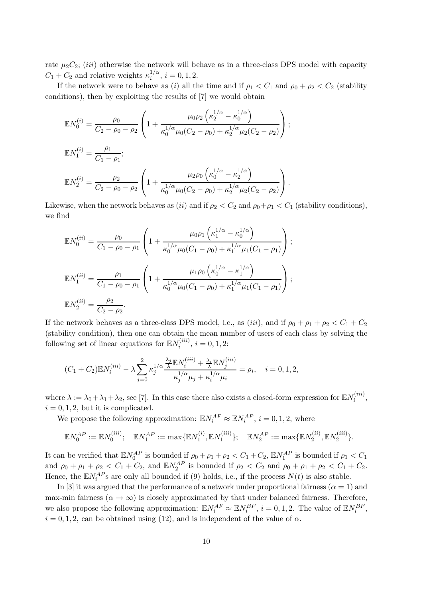rate  $\mu_2C_2$ ; (*iii*) otherwise the network will behave as in a three-class DPS model with capacity  $C_1 + C_2$  and relative weights  $\kappa_i^{1/\alpha}$  $i^{1/\alpha}, i = 0, 1, 2.$ 

If the network were to behave as (i) all the time and if  $\rho_1 < C_1$  and  $\rho_0 + \rho_2 < C_2$  (stability conditions), then by exploiting the results of [7] we would obtain

$$
\mathbb{E}N_0^{(i)} = \frac{\rho_0}{C_2 - \rho_0 - \rho_2} \left(1 + \frac{\mu_0 \rho_2 \left(\kappa_2^{1/\alpha} - \kappa_0^{1/\alpha}\right)}{\kappa_0^{1/\alpha} \mu_0 (C_2 - \rho_0) + \kappa_2^{1/\alpha} \mu_2 (C_2 - \rho_2)}\right);
$$
  
\n
$$
\mathbb{E}N_1^{(i)} = \frac{\rho_1}{C_1 - \rho_1};
$$
  
\n
$$
\mathbb{E}N_2^{(i)} = \frac{\rho_2}{C_2 - \rho_0 - \rho_2} \left(1 + \frac{\mu_2 \rho_0 \left(\kappa_0^{1/\alpha} - \kappa_2^{1/\alpha}\right)}{\kappa_0^{1/\alpha} \mu_0 (C_2 - \rho_0) + \kappa_2^{1/\alpha} \mu_2 (C_2 - \rho_2)}\right).
$$

Likewise, when the network behaves as (ii) and if  $\rho_2 < C_2$  and  $\rho_0 + \rho_1 < C_1$  (stability conditions), we find

$$
\mathbb{E}N_0^{(ii)} = \frac{\rho_0}{C_1 - \rho_0 - \rho_1} \left( 1 + \frac{\mu_0 \rho_1 \left( \kappa_1^{1/\alpha} - \kappa_0^{1/\alpha} \right)}{\kappa_0^{1/\alpha} \mu_0 (C_1 - \rho_0) + \kappa_1^{1/\alpha} \mu_1 (C_1 - \rho_1)} \right);
$$
  
\n
$$
\mathbb{E}N_1^{(ii)} = \frac{\rho_1}{C_1 - \rho_0 - \rho_1} \left( 1 + \frac{\mu_1 \rho_0 \left( \kappa_0^{1/\alpha} - \kappa_1^{1/\alpha} \right)}{\kappa_0^{1/\alpha} \mu_0 (C_1 - \rho_0) + \kappa_1^{1/\alpha} \mu_1 (C_1 - \rho_1)} \right);
$$
  
\n
$$
\mathbb{E}N_2^{(ii)} = \frac{\rho_2}{C_2 - \rho_2}.
$$

If the network behaves as a three-class DPS model, i.e., as (iii), and if  $\rho_0 + \rho_1 + \rho_2 < C_1 + C_2$ (stability condition), then one can obtain the mean number of users of each class by solving the following set of linear equations for  $\mathbb{E} N_i^{(iii)}$  $i^{(iii)}$ ,  $i = 0, 1, 2$ :

$$
(C_1 + C_2) \mathbb{E} N_i^{(iii)} - \lambda \sum_{j=0}^2 \kappa_j^{1/\alpha} \frac{\frac{\lambda_j}{\lambda} \mathbb{E} N_i^{(iii)} + \frac{\lambda_i}{\lambda} \mathbb{E} N_j^{(iii)}}{\kappa_j^{1/\alpha} \mu_j + \kappa_i^{1/\alpha} \mu_i} = \rho_i, \quad i = 0, 1, 2,
$$

where  $\lambda := \lambda_0 + \lambda_1 + \lambda_2$ , see [7]. In this case there also exists a closed-form expression for  $\mathbb{E}N_i^{(iii)}$  $\sum_{i}^{(iii)}$  $i = 0, 1, 2$ , but it is complicated.

We propose the following approximation:  $\mathbb{E} N_i^{AF} \approx \mathbb{E} N_i^{AP}$ ,  $i = 0, 1, 2$ , where

$$
\mathbb{E}N_0^{AP} := \mathbb{E}N_0^{(iii)}; \quad \mathbb{E}N_1^{AP} := \max{\{\mathbb{E}N_1^{(i)}, \mathbb{E}N_1^{(iii)}\}}; \quad \mathbb{E}N_2^{AP} := \max{\{\mathbb{E}N_2^{(ii)}, \mathbb{E}N_2^{(iii)}\}}.
$$

It can be verified that  $\mathbb{E}N_0^{AP}$  is bounded if  $\rho_0 + \rho_1 + \rho_2 < C_1 + C_2$ ,  $\mathbb{E}N_1^{AP}$  is bounded if  $\rho_1 < C_1$ and  $\rho_0 + \rho_1 + \rho_2 < C_1 + C_2$ , and  $\mathbb{E} N_2^{AP}$  is bounded if  $\rho_2 < C_2$  and  $\rho_0 + \rho_1 + \rho_2 < C_1 + C_2$ . Hence, the  $\mathbb{E} N_i^{AP}$ s are only all bounded if (9) holds, i.e., if the process  $N(t)$  is also stable.

In [3] it was argued that the performance of a network under proportional fairness  $(\alpha = 1)$  and max-min fairness ( $\alpha \to \infty$ ) is closely approximated by that under balanced fairness. Therefore, we also propose the following approximation:  $\mathbb{E} N_i^{AF} \approx \mathbb{E} N_i^{BF}$ ,  $i = 0, 1, 2$ . The value of  $\mathbb{E} N_i^{BF}$ ,  $i = 0, 1, 2$ , can be obtained using (12), and is independent of the value of  $\alpha$ .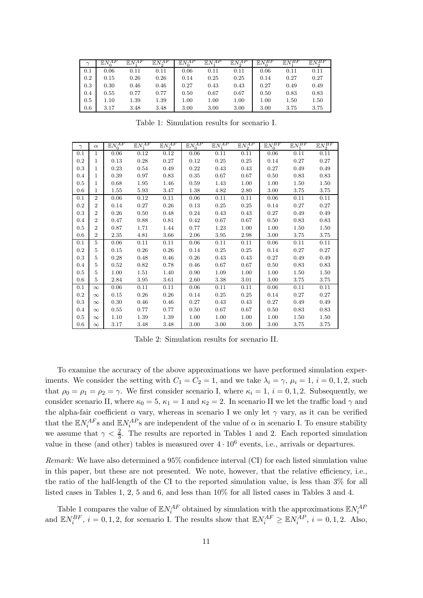| $\sim$ | $EN_{0}^{AF}$ | $EN^{AF}$ | $EN_{0}^{AF}$ | ΑP<br>E N | $\mathbb{E} N^{AP}$ | $EN_{0}^{AP}$ | $EN_o^{BF}$ | EN <sub>3</sub> <sup>BF</sup> | $EN_o^{BF}$ |
|--------|---------------|-----------|---------------|-----------|---------------------|---------------|-------------|-------------------------------|-------------|
|        |               |           |               |           |                     |               |             |                               |             |
| 0.1    | 0.06          | 0.11      | 0.11          | 0.06      | 0.11                | 0.11          | 0.06        | 0.11                          | 0.11        |
| 0.2    | 0.15          | 0.26      | 0.26          | 0.14      | 0.25                | 0.25          | 0.14        | 0.27                          | 0.27        |
| 0.3    | 0.30          | 0.46      | 0.46          | 0.27      | 0.43                | 0.43          | 0.27        | 0.49                          | 0.49        |
| 0.4    | 0.55          | 0.77      | 0.77          | 0.50      | 0.67                | 0.67          | 0.50        | 0.83                          | 0.83        |
| 0.5    | $1.10\,$      | 1.39      | 1.39          | 1.00      | $1.00\,$            | 1.00          | 1.00        | 1.50                          | 1.50        |
| 0.6    | 3.17          | 3.48      | 3.48          | 3.00      | 3.00                | 3.00          | 3.00        | 3.75                          | 3.75        |

Table 1: Simulation results for scenario I.

| $\gamma$ | $\alpha$       | $\overline{\mathbb{E} N_0^{AF}}$ | $\mathbb{E} N^{AF}$ | $EN_2^{AF}$ | $\mathbb{E}N_0^{AP}$ | $\mathbb{E} N^{AP}_1$ | $\mathbb{E} N_2^{AP}$ | $E N_0^{BF}$ | $\mathbb{E} N^{BF}_*$ | $EN_2^{BF}$ |
|----------|----------------|----------------------------------|---------------------|-------------|----------------------|-----------------------|-----------------------|--------------|-----------------------|-------------|
| 0.1      | 1              | 0.06                             | 0.12                | 0.12        | 0.06                 | 0.11                  | 0.11                  | 0.06         | 0.11                  | 0.11        |
| 0.2      | $\mathbf{1}$   | 0.13                             | 0.28                | 0.27        | 0.12                 | 0.25                  | 0.25                  | 0.14         | 0.27                  | 0.27        |
| 0.3      | $\mathbf{1}$   | 0.23                             | 0.54                | 0.49        | 0.22                 | 0.43                  | 0.43                  | 0.27         | 0.49                  | 0.49        |
| 0.4      | $\mathbf{1}$   | 0.39                             | 0.97                | 0.83        | 0.35                 | 0.67                  | 0.67                  | 0.50         | 0.83                  | 0.83        |
| 0.5      | $\mathbf{1}$   | 0.68                             | 1.95                | 1.46        | 0.59                 | 1.43                  | 1.00                  | 1.00         | 1.50                  | 1.50        |
| 0.6      | $\mathbf{1}$   | 1.55                             | 5.93                | 3.47        | 1.38                 | 4.82                  | 2.80                  | 3.00         | 3.75                  | 3.75        |
| 0.1      | $\mathbf{2}$   | 0.06                             | 0.12                | 0.11        | 0.06                 | 0.11                  | 0.11                  | 0.06         | 0.11                  | 0.11        |
| 0.2      | $\overline{2}$ | 0.14                             | 0.27                | 0.26        | 0.13                 | 0.25                  | 0.25                  | 0.14         | 0.27                  | 0.27        |
| 0.3      | $\overline{2}$ | 0.26                             | 0.50                | 0.48        | 0.24                 | 0.43                  | 0.43                  | 0.27         | 0.49                  | 0.49        |
| 0.4      | $\overline{2}$ | 0.47                             | 0.88                | 0.81        | 0.42                 | 0.67                  | 0.67                  | 0.50         | 0.83                  | 0.83        |
| 0.5      | $\mathbf{2}$   | 0.87                             | 1.71                | 1.44        | 0.77                 | 1.23                  | 1.00                  | 1.00         | 1.50                  | 1.50        |
| 0.6      | $\overline{2}$ | 2.35                             | 4.81                | 3.66        | 2.06                 | 3.95                  | 2.98                  | 3.00         | 3.75                  | 3.75        |
| 0.1      | 5              | 0.06                             | 0.11                | 0.11        | 0.06                 | 0.11                  | 0.11                  | 0.06         | 0.11                  | 0.11        |
| 0.2      | 5              | 0.15                             | 0.26                | 0.26        | 0.14                 | 0.25                  | 0.25                  | 0.14         | 0.27                  | 0.27        |
| 0.3      | 5              | 0.28                             | 0.48                | 0.46        | 0.26                 | 0.43                  | 0.43                  | 0.27         | 0.49                  | 0.49        |
| 0.4      | 5              | 0.52                             | 0.82                | 0.78        | 0.46                 | 0.67                  | 0.67                  | 0.50         | 0.83                  | 0.83        |
| 0.5      | 5              | 1.00                             | 1.51                | 1.40        | 0.90                 | 1.09                  | 1.00                  | 1.00         | 1.50                  | 1.50        |
| 0.6      | 5              | 2.84                             | 3.95                | 3.61        | 2.60                 | 3.38                  | 3.01                  | 3.00         | 3.75                  | 3.75        |
| 0.1      | $\infty$       | 0.06                             | 0.11                | 0.11        | 0.06                 | 0.11                  | 0.11                  | 0.06         | 0.11                  | 0.11        |
| 0.2      | $\infty$       | 0.15                             | 0.26                | 0.26        | 0.14                 | 0.25                  | 0.25                  | 0.14         | 0.27                  | 0.27        |
| 0.3      | $\infty$       | 0.30                             | 0.46                | 0.46        | 0.27                 | 0.43                  | 0.43                  | 0.27         | 0.49                  | 0.49        |
| 0.4      | $\infty$       | 0.55                             | 0.77                | 0.77        | 0.50                 | 0.67                  | 0.67                  | 0.50         | 0.83                  | 0.83        |
| 0.5      | $\infty$       | 1.10                             | 1.39                | 1.39        | 1.00                 | 1.00                  | 1.00                  | 1.00         | 1.50                  | 1.50        |
| 0.6      | $\infty$       | 3.17                             | 3.48                | 3.48        | 3.00                 | 3.00                  | 3.00                  | 3.00         | 3.75                  | 3.75        |

Table 2: Simulation results for scenario II.

To examine the accuracy of the above approximations we have performed simulation experiments. We consider the setting with  $C_1 = C_2 = 1$ , and we take  $\lambda_i = \gamma$ ,  $\mu_i = 1$ ,  $i = 0, 1, 2$ , such that  $\rho_0 = \rho_1 = \rho_2 = \gamma$ . We first consider scenario I, where  $\kappa_i = 1$ ,  $i = 0, 1, 2$ . Subsequently, we consider scenario II, where  $\kappa_0 = 5$ ,  $\kappa_1 = 1$  and  $\kappa_2 = 2$ . In scenario II we let the traffic load  $\gamma$  and the alpha-fair coefficient  $\alpha$  vary, whereas in scenario I we only let  $\gamma$  vary, as it can be verified that the  $\mathbb{E} N_i^{AF}$ s and  $\mathbb{E} N_i^{AP}$ s are independent of the value of  $\alpha$  in scenario I. To ensure stability we assume that  $\gamma < \frac{2}{3}$ . The results are reported in Tables 1 and 2. Each reported simulation value in these (and other) tables is measured over  $4 \cdot 10^6$  events, i.e., arrivals or departures.

Remark: We have also determined a 95% confidence interval (CI) for each listed simulation value in this paper, but these are not presented. We note, however, that the relative efficiency, i.e., the ratio of the half-length of the CI to the reported simulation value, is less than 3% for all listed cases in Tables 1, 2, 5 and 6, and less than 10% for all listed cases in Tables 3 and 4.

Table 1 compares the value of  $\mathbb{E} N_i^{AF}$  obtained by simulation with the approximations  $\mathbb{E} N_i^{AF}$ and  $\mathbb{E}N_i^{BF}$ ,  $i = 0, 1, 2$ , for scenario I. The results show that  $\mathbb{E}N_i^{AF} \geq \mathbb{E}N_i^{AP}$ ,  $i = 0, 1, 2$ . Also,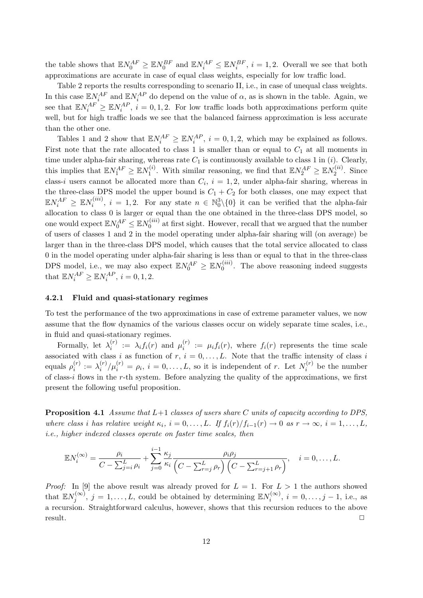the table shows that  $\mathbb{E} N_0^{AF} \geq \mathbb{E} N_0^{BF}$  and  $\mathbb{E} N_i^{AF} \leq \mathbb{E} N_i^{BF}$ ,  $i = 1, 2$ . Overall we see that both approximations are accurate in case of equal class weights, especially for low traffic load.

Table 2 reports the results corresponding to scenario II, i.e., in case of unequal class weights. In this case  $\mathbb{E} N_i^{AF}$  and  $\mathbb{E} N_i^{AP}$  do depend on the value of  $\alpha$ , as is shown in the table. Again, we see that  $\mathbb{E} N_i^{AF} \geq \mathbb{E} N_i^{AP}$ ,  $i = 0, 1, 2$ . For low traffic loads both approximations perform quite well, but for high traffic loads we see that the balanced fairness approximation is less accurate than the other one.

Tables 1 and 2 show that  $\mathbb{E} N_i^{AF} \geq \mathbb{E} N_i^{AP}$ ,  $i = 0, 1, 2$ , which may be explained as follows. First note that the rate allocated to class 1 is smaller than or equal to  $C_1$  at all moments in time under alpha-fair sharing, whereas rate  $C_1$  is continuously available to class 1 in (*i*). Clearly, this implies that  $\mathbb{E} N_1^{AF} \geq \mathbb{E} N_1^{(i)}$  $N_1^{(i)}$ . With similar reasoning, we find that  $\mathbb{E} N_2^{AF} \geq \mathbb{E} N_2^{(ii)}$  $2^{(u)}$ . Since class-i users cannot be allocated more than  $C_i$ ,  $i = 1, 2$ , under alpha-fair sharing, whereas in the three-class DPS model the upper bound is  $C_1 + C_2$  for both classes, one may expect that  $\mathbb{E} N_{i}^{AF} \, \geq \, \mathbb{E} N_{i}^{(iii)}$  $i_i^{(iii)}$ ,  $i = 1, 2$ . For any state  $n \in \mathbb{N}_0^3 \setminus \{0\}$  it can be verified that the alpha-fair allocation to class 0 is larger or equal than the one obtained in the three-class DPS model, so one would expect  $\mathbb{E} N_0^{AF}\leq \mathbb{E} N_0^{(iii)}$  $\int_0^{\text{(iii)}}$  at first sight. However, recall that we argued that the number of users of classes 1 and 2 in the model operating under alpha-fair sharing will (on average) be larger than in the three-class DPS model, which causes that the total service allocated to class 0 in the model operating under alpha-fair sharing is less than or equal to that in the three-class DPS model, i.e., we may also expect  $\mathbb{E}N_0^{AF} \geq \mathbb{E}N_0^{(iii)}$  $0^{(iii)}$ . The above reasoning indeed suggests that  $\mathbb{E}N_i^{AF} \geq \mathbb{E}N_i^{AP}, i = 0, 1, 2.$ 

#### 4.2.1 Fluid and quasi-stationary regimes

To test the performance of the two approximations in case of extreme parameter values, we now assume that the flow dynamics of the various classes occur on widely separate time scales, i.e., in fluid and quasi-stationary regimes.

Formally, let  $\lambda_i^{(r)}$  $i_i^{(r)} := \lambda_i f_i(r)$  and  $\mu_i^{(r)}$  $i_i^{(r)} := \mu_i f_i(r)$ , where  $f_i(r)$  represents the time scale associated with class i as function of  $r, i = 0, \ldots, L$ . Note that the traffic intensity of class i equals  $\rho_i^{(r)}$  $\lambda_i^{(r)} := \lambda_i^{(r)}$  $\sum_{i}^{(r)}/\mu_i^{(r)} = \rho_i, i = 0,\ldots,L$ , so it is independent of r. Let  $N_i^{(r)}$  $i^{(r)}$  be the number of class-i flows in the r-th system. Before analyzing the quality of the approximations, we first present the following useful proposition.

**Proposition 4.1** Assume that  $L+1$  classes of users share C units of capacity according to DPS, where class i has relative weight  $\kappa_i$ ,  $i = 0, \ldots, L$ . If  $f_i(r)/f_{i-1}(r) \to 0$  as  $r \to \infty$ ,  $i = 1, \ldots, L$ , i.e., higher indexed classes operate on faster time scales, then

$$
\mathbb{E}N_i^{(\infty)} = \frac{\rho_i}{C - \sum_{j=i}^L \rho_i} + \sum_{j=0}^{i-1} \frac{\kappa_j}{\kappa_i} \frac{\rho_i \rho_j}{\left(C - \sum_{r=j}^L \rho_r\right) \left(C - \sum_{r=j+1}^L \rho_r\right)}, \quad i = 0, \dots, L.
$$

*Proof:* In [9] the above result was already proved for  $L = 1$ . For  $L > 1$  the authors showed that  $\mathbb{E} N_i^{(\infty)}$  $j^{(\infty)}$ ,  $j = 1, ..., L$ , could be obtained by determining  $\mathbb{E} N_i^{(\infty)}$  $i^{(\infty)}$ ,  $i = 0, \ldots, j - 1$ , i.e., as a recursion. Straightforward calculus, however, shows that this recursion reduces to the above  $r$ esult.  $\Box$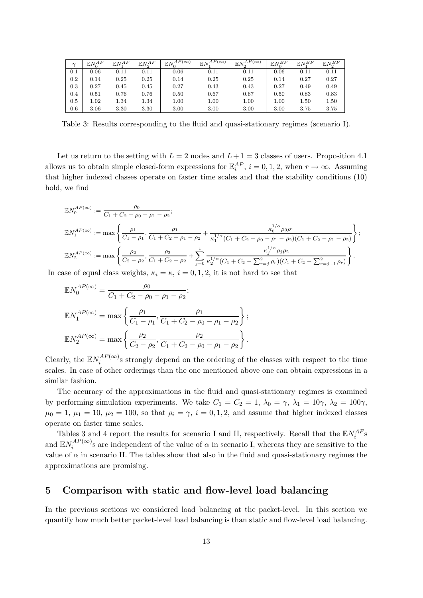| $\sim$ | $EN_{0}^{AF}$ | $EN^{AF}$ | $EN_2^{AF}$ | $\mathbb{E}N_{0}^{\overline{AP(\infty)}}$ | $\mathbb{E} N_*^{\overline{AP(\infty)}}$ | $\mathbb{E} N_2^{AP(\infty)}$ | $E N_0^{BF}$ | $EN_1^{BF}$ | $EN_2^{BF}$ |
|--------|---------------|-----------|-------------|-------------------------------------------|------------------------------------------|-------------------------------|--------------|-------------|-------------|
| 0.1    | 0.06          | 0.11      | 0.11        | 0.06                                      | 0.11                                     | 0.11                          | 0.06         | 0.11        | 0.11        |
| 0.2    | 0.14          | 0.25      | 0.25        | 0.14                                      | 0.25                                     | 0.25                          | 0.14         | 0.27        | 0.27        |
| 0.3    | 0.27          | 0.45      | 0.45        | 0.27                                      | 0.43                                     | 0.43                          | 0.27         | 0.49        | 0.49        |
| 0.4    | 0.51          | 0.76      | 0.76        | 0.50                                      | 0.67                                     | 0.67                          | 0.50         | 0.83        | 0.83        |
| 0.5    | 1.02          | 1.34      | 1.34        | $1.00\,$                                  | $1.00\,$                                 | 1.00                          | $1.00\,$     | 1.50        | $1.50\,$    |
| 0.6    | 3.06          | 3.30      | 3.30        | 3.00                                      | 3.00                                     | 3.00                          | 3.00         | 3.75        | 3.75        |

Table 3: Results corresponding to the fluid and quasi-stationary regimes (scenario I).

Let us return to the setting with  $L = 2$  nodes and  $L + 1 = 3$  classes of users. Proposition 4.1 allows us to obtain simple closed-form expressions for  $\mathbb{E}_i^{AP}$ ,  $i = 0, 1, 2$ , when  $r \to \infty$ . Assuming that higher indexed classes operate on faster time scales and that the stability conditions (10) hold, we find

$$
\mathbb{E}N_0^{AP(\infty)} := \frac{\rho_0}{C_1 + C_2 - \rho_0 - \rho_1 - \rho_2};
$$
  
\n
$$
\mathbb{E}N_1^{AP(\infty)} := \max \left\{ \frac{\rho_1}{C_1 - \rho_1}, \frac{\rho_1}{C_1 + C_2 - \rho_1 - \rho_2} + \frac{\kappa_0^{1/\alpha} \rho_0 \rho_1}{\kappa_1^{1/\alpha} (C_1 + C_2 - \rho_0 - \rho_1 - \rho_2)(C_1 + C_2 - \rho_1 - \rho_2)} \right\};
$$
  
\n
$$
\mathbb{E}N_2^{AP(\infty)} := \max \left\{ \frac{\rho_2}{C_2 - \rho_2}, \frac{\rho_2}{C_1 + C_2 - \rho_2} + \sum_{j=0}^1 \frac{\kappa_j^{1/\alpha} \rho_j \rho_2}{\kappa_2^{1/\alpha} (C_1 + C_2 - \sum_{r=j}^2 \rho_r)(C_1 + C_2 - \sum_{r=j+1}^2 \rho_r)} \right\}.
$$

In case of equal class weights,  $\kappa_i = \kappa$ ,  $i = 0, 1, 2$ , it is not hard to see that

$$
\mathbb{E}N_0^{AP(\infty)} = \frac{\rho_0}{C_1 + C_2 - \rho_0 - \rho_1 - \rho_2};
$$
  
\n
$$
\mathbb{E}N_1^{AP(\infty)} = \max\left\{\frac{\rho_1}{C_1 - \rho_1}, \frac{\rho_1}{C_1 + C_2 - \rho_0 - \rho_1 - \rho_2}\right\};
$$
  
\n
$$
\mathbb{E}N_2^{AP(\infty)} = \max\left\{\frac{\rho_2}{C_2 - \rho_2}, \frac{\rho_2}{C_1 + C_2 - \rho_0 - \rho_1 - \rho_2}\right\}.
$$

Clearly, the  $\mathbb{E} N_i^{AP(\infty)}$  $i_i^{AT}$ <sup>( $\infty$ )</sup>s strongly depend on the ordering of the classes with respect to the time scales. In case of other orderings than the one mentioned above one can obtain expressions in a similar fashion.

The accuracy of the approximations in the fluid and quasi-stationary regimes is examined by performing simulation experiments. We take  $C_1 = C_2 = 1$ ,  $\lambda_0 = \gamma$ ,  $\lambda_1 = 10\gamma$ ,  $\lambda_2 = 100\gamma$ ,  $\mu_0 = 1, \mu_1 = 10, \mu_2 = 100$ , so that  $\rho_i = \gamma$ ,  $i = 0, 1, 2$ , and assume that higher indexed classes operate on faster time scales.

Tables 3 and 4 report the results for scenario I and II, respectively. Recall that the  $\mathbb{E}N_i^{AF}$ s and  $\mathbb{E} N_i^{AP(\infty)}$  $i_i^{AT(\infty)}$ 's are independent of the value of  $\alpha$  in scenario I, whereas they are sensitive to the value of  $\alpha$  in scenario II. The tables show that also in the fluid and quasi-stationary regimes the approximations are promising.

## 5 Comparison with static and flow-level load balancing

In the previous sections we considered load balancing at the packet-level. In this section we quantify how much better packet-level load balancing is than static and flow-level load balancing.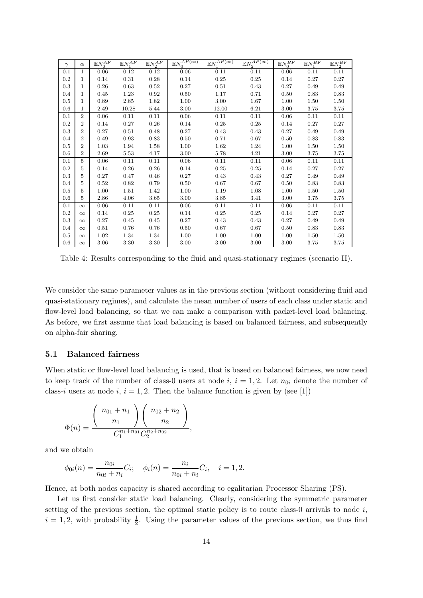| $\gamma$ | $\alpha$       | $\mathbb{E}N_0^{AF}$ | $\mathbb{E} N^{AF}_{\scriptscriptstyle{1}}$ | $\mathbb{E} N_2^{AF}$ | $\underline{\mathbb{E} N}_0^{\overline{AP(\infty)}}$ | $\mathbb{E} N_\mathrm{1}^{\bar{A}P(\infty)}$ | $\mathbb{E} N_2^{\overline{AP(\infty)}}$ | $\mathbb{E} N_0^{BF}$ | $\mathbb{E} N_1^{BF}$ | $\mathbb{E} N_2^{BF}$ |
|----------|----------------|----------------------|---------------------------------------------|-----------------------|------------------------------------------------------|----------------------------------------------|------------------------------------------|-----------------------|-----------------------|-----------------------|
| 0.1      | 1              | 0.06                 | 0.12                                        | 0.12                  | 0.06                                                 | 0.11                                         | 0.11                                     | 0.06                  | 0.11                  | 0.11                  |
| 0.2      | $\mathbf 1$    | 0.14                 | 0.31                                        | 0.28                  | 0.14                                                 | 0.25                                         | 0.25                                     | 0.14                  | 0.27                  | 0.27                  |
| 0.3      | 1              | 0.26                 | 0.63                                        | 0.52                  | 0.27                                                 | 0.51                                         | 0.43                                     | 0.27                  | 0.49                  | 0.49                  |
| 0.4      | 1              | 0.45                 | 1.23                                        | 0.92                  | 0.50                                                 | 1.17                                         | 0.71                                     | 0.50                  | 0.83                  | 0.83                  |
| 0.5      | $\mathbf 1$    | 0.89                 | 2.85                                        | 1.82                  | 1.00                                                 | 3.00                                         | 1.67                                     | 1.00                  | 1.50                  | 1.50                  |
| 0.6      | $\mathbf{1}$   | 2.49                 | 10.28                                       | 5.44                  | 3.00                                                 | 12.00                                        | 6.21                                     | 3.00                  | 3.75                  | 3.75                  |
| 0.1      | $\overline{2}$ | 0.06                 | 0.11                                        | 0.11                  | 0.06                                                 | 0.11                                         | 0.11                                     | 0.06                  | 0.11                  | 0.11                  |
| 0.2      | $\overline{2}$ | 0.14                 | 0.27                                        | 0.26                  | 0.14                                                 | 0.25                                         | 0.25                                     | 0.14                  | 0.27                  | 0.27                  |
| 0.3      | $\overline{2}$ | 0.27                 | 0.51                                        | 0.48                  | 0.27                                                 | 0.43                                         | 0.43                                     | 0.27                  | 0.49                  | 0.49                  |
| 0.4      | $\overline{2}$ | 0.49                 | 0.93                                        | 0.83                  | 0.50                                                 | 0.71                                         | 0.67                                     | 0.50                  | 0.83                  | 0.83                  |
| 0.5      | $\overline{2}$ | 1.03                 | 1.94                                        | 1.58                  | 1.00                                                 | 1.62                                         | 1.24                                     | 1.00                  | 1.50                  | 1.50                  |
| 0.6      | $\overline{2}$ | 2.69                 | 5.53                                        | 4.17                  | 3.00                                                 | 5.78                                         | 4.21                                     | 3.00                  | 3.75                  | 3.75                  |
| 0.1      | 5              | 0.06                 | 0.11                                        | 0.11                  | 0.06                                                 | 0.11                                         | 0.11                                     | 0.06                  | 0.11                  | 0.11                  |
| 0.2      | 5              | 0.14                 | 0.26                                        | 0.26                  | 0.14                                                 | 0.25                                         | 0.25                                     | 0.14                  | 0.27                  | 0.27                  |
| 0.3      | 5              | 0.27                 | 0.47                                        | 0.46                  | 0.27                                                 | 0.43                                         | 0.43                                     | 0.27                  | 0.49                  | 0.49                  |
| 0.4      | 5              | 0.52                 | 0.82                                        | 0.79                  | 0.50                                                 | 0.67                                         | 0.67                                     | 0.50                  | 0.83                  | 0.83                  |
| 0.5      | 5              | 1.00                 | 1.51                                        | 1.42                  | 1.00                                                 | 1.19                                         | 1.08                                     | 1.00                  | 1.50                  | 1.50                  |
| 0.6      | 5              | 2.86                 | 4.06                                        | 3.65                  | 3.00                                                 | 3.85                                         | 3.41                                     | 3.00                  | 3.75                  | 3.75                  |
| 0.1      | $\infty$       | 0.06                 | 0.11                                        | 0.11                  | 0.06                                                 | 0.11                                         | 0.11                                     | 0.06                  | 0.11                  | 0.11                  |
| 0.2      | $\infty$       | 0.14                 | 0.25                                        | 0.25                  | 0.14                                                 | 0.25                                         | 0.25                                     | 0.14                  | 0.27                  | 0.27                  |
| 0.3      | $\infty$       | 0.27                 | 0.45                                        | 0.45                  | 0.27                                                 | 0.43                                         | 0.43                                     | 0.27                  | 0.49                  | 0.49                  |
| 0.4      | $\infty$       | 0.51                 | 0.76                                        | 0.76                  | 0.50                                                 | 0.67                                         | 0.67                                     | 0.50                  | 0.83                  | 0.83                  |
| 0.5      | $\infty$       | 1.02                 | 1.34                                        | 1.34                  | 1.00                                                 | 1.00                                         | 1.00                                     | 1.00                  | 1.50                  | 1.50                  |
| 0.6      | $\infty$       | 3.06                 | 3.30                                        | 3.30                  | 3.00                                                 | 3.00                                         | 3.00                                     | 3.00                  | 3.75                  | 3.75                  |

Table 4: Results corresponding to the fluid and quasi-stationary regimes (scenario II).

We consider the same parameter values as in the previous section (without considering fluid and quasi-stationary regimes), and calculate the mean number of users of each class under static and flow-level load balancing, so that we can make a comparison with packet-level load balancing. As before, we first assume that load balancing is based on balanced fairness, and subsequently on alpha-fair sharing.

#### 5.1 Balanced fairness

When static or flow-level load balancing is used, that is based on balanced fairness, we now need to keep track of the number of class-0 users at node i,  $i = 1, 2$ . Let  $n_{0i}$  denote the number of class-i users at node i,  $i = 1, 2$ . Then the balance function is given by (see [1])

$$
\Phi(n) = \frac{\binom{n_{01}+n_1}{n_1}\binom{n_{02}+n_2}{n_2}}{C_1^{n_1+n_{01}}C_2^{n_2+n_{02}}},
$$

and we obtain

$$
\phi_{0i}(n) = \frac{n_{0i}}{n_{0i} + n_i} C_i; \quad \phi_i(n) = \frac{n_i}{n_{0i} + n_i} C_i, \quad i = 1, 2.
$$

Hence, at both nodes capacity is shared according to egalitarian Processor Sharing (PS).

Let us first consider static load balancing. Clearly, considering the symmetric parameter setting of the previous section, the optimal static policy is to route class-0 arrivals to node  $i$ ,  $i = 1, 2$ , with probability  $\frac{1}{2}$ . Using the parameter values of the previous section, we thus find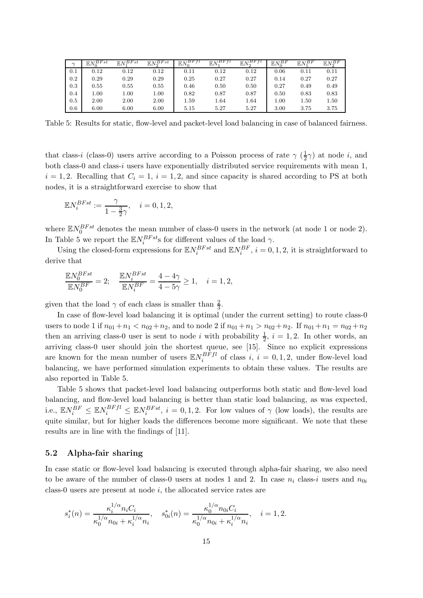| $\sim$ | $EN_o^{BFst}$ | $EN_1^{BFst}$ | $\mathbb{E} N_2^{BFst}$ | <sub>'</sub> BF f<br>$E_N$ | $\mathbb{E} N_1^{BFfl}$ | $\cdot$ $\mathbb{E} N_c^{BFf_l}$ | $EN_o^{BF}$ | $EN^{BF}$ | $EN_o^{BF}$ |
|--------|---------------|---------------|-------------------------|----------------------------|-------------------------|----------------------------------|-------------|-----------|-------------|
| 0.1    | 0.12          | 0.12          | 0.12                    | 0.11                       | 0.12                    | 0.12                             | 0.06        | 0.11      | 0.11        |
| 0.2    | 0.29          | 0.29          | 0.29                    | 0.25                       | 0.27                    | 0.27                             | 0.14        | 0.27      | 0.27        |
| 0.3    | 0.55          | 0.55          | 0.55                    | 0.46                       | 0.50                    | 0.50                             | 0.27        | 0.49      | 0.49        |
| 0.4    | 1.00          | 1.00          | 1.00                    | 0.82                       | 0.87                    | 0.87                             | 0.50        | 0.83      | 0.83        |
| 0.5    | 2.00          | 2.00          | 2.00                    | 1.59                       | 1.64                    | 1.64                             | 00.1        | 1.50      | 1.50        |
| 0.6    | 6.00          | 6.00          | 6.00                    | 5.15                       | 5.27                    | 5.27                             | 3.00        | 3.75      | 3.75        |

Table 5: Results for static, flow-level and packet-level load balancing in case of balanced fairness.

that class-i (class-0) users arrive according to a Poisson process of rate  $\gamma$  ( $\frac{1}{2}$ )  $(\frac{1}{2}\gamma)$  at node *i*, and both class-0 and class-i users have exponentially distributed service requirements with mean 1,  $i = 1, 2$ . Recalling that  $C_i = 1$ ,  $i = 1, 2$ , and since capacity is shared according to PS at both nodes, it is a straightforward exercise to show that

$$
\mathbb{E}N_{i}^{BFst}:=\frac{\gamma}{1-\frac{3}{2}\gamma},\quad i=0,1,2,
$$

where  $\mathbb{E} N_0^{BFst}$  denotes the mean number of class-0 users in the network (at node 1 or node 2). In Table 5 we report the  $\mathbb{E} N_i^{BFst}$ s for different values of the load  $\gamma$ .

Using the closed-form expressions for  $\mathbb{E} N_i^{BFst}$  and  $\mathbb{E} N_i^{BF}$ ,  $i = 0, 1, 2$ , it is straightforward to derive that

$$
\frac{\mathbb{E}N_0^{BFst}}{\mathbb{E}N_0^{BF}} = 2; \quad \frac{\mathbb{E}N_i^{BFst}}{\mathbb{E}N_i^{BF}} = \frac{4-4\gamma}{4-5\gamma} \ge 1, \quad i = 1, 2,
$$

given that the load  $\gamma$  of each class is smaller than  $\frac{2}{3}$ .

In case of flow-level load balancing it is optimal (under the current setting) to route class-0 users to node 1 if  $n_{01} + n_1 < n_{02} + n_2$ , and to node 2 if  $n_{01} + n_1 > n_{02} + n_2$ . If  $n_{01} + n_1 = n_{02} + n_2$ then an arriving class-0 user is sent to node i with probability  $\frac{1}{2}$ ,  $i = 1, 2$ . In other words, an arriving class-0 user should join the shortest queue, see [15]. Since no explicit expressions are known for the mean number of users  $\mathbb{E} N_i^{BFfl}$  $i^{BFI}$  of class i,  $i = 0, 1, 2$ , under flow-level load balancing, we have performed simulation experiments to obtain these values. The results are also reported in Table 5.

Table 5 shows that packet-level load balancing outperforms both static and flow-level load balancing, and flow-level load balancing is better than static load balancing, as was expected, i.e.,  $\mathbb{E} N_i^{BF} \leq \mathbb{E} N_i^{BFfl} \leq \mathbb{E} N_i^{BFst}$ ,  $i = 0, 1, 2$ . For low values of  $\gamma$  (low loads), the results are quite similar, but for higher loads the differences become more significant. We note that these results are in line with the findings of [11].

#### 5.2 Alpha-fair sharing

In case static or flow-level load balancing is executed through alpha-fair sharing, we also need to be aware of the number of class-0 users at nodes 1 and 2. In case  $n_i$  class-i users and  $n_{0i}$ class-0 users are present at node  $i$ , the allocated service rates are

$$
s_i^*(n) = \frac{\kappa_i^{1/\alpha} n_i C_i}{\kappa_0^{1/\alpha} n_{0i} + \kappa_i^{1/\alpha} n_i}, \quad s_{0i}^*(n) = \frac{\kappa_0^{1/\alpha} n_{0i} C_i}{\kappa_0^{1/\alpha} n_{0i} + \kappa_i^{1/\alpha} n_i}, \quad i = 1, 2.
$$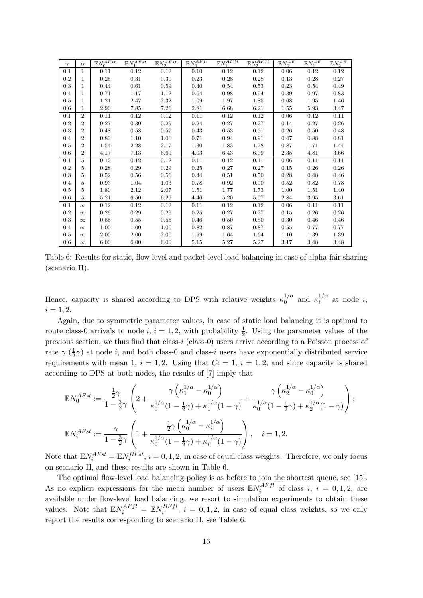| $\gamma$ | $\alpha$       | $\mathbb{E} N_0^{AFst}$ | $\mathbb{E} N^{AFst}$ | $\mathbb{E} N_2^{A \overline{Fst}}$ | $\mathbb{E} N_0^{AFfl}$ | $\mathbb{E} N_\tau^{AFfl}$ | $\mathbb{E} N_2^{AFfl}$ | $\mathbb{E}N_0^{AF}$ | $\mathbb{E} N_1^{AF}$ | $\mathbb{E} N_2^{AF}$ |
|----------|----------------|-------------------------|-----------------------|-------------------------------------|-------------------------|----------------------------|-------------------------|----------------------|-----------------------|-----------------------|
| 0.1      | 1              | 0.11                    | 0.12                  | $\rm 0.12$                          | 0.10                    | 0.12                       | 0.12                    | 0.06                 | 0.12                  | 0.12                  |
| $0.2\,$  | 1              | $\rm 0.25$              | 0.31                  | $0.30\,$                            | 0.23                    | 0.28                       | 0.28                    | 0.13                 | 0.28                  | 0.27                  |
| 0.3      | $\mathbf 1$    | 0.44                    | 0.61                  | 0.59                                | 0.40                    | 0.54                       | 0.53                    | 0.23                 | 0.54                  | 0.49                  |
| 0.4      | $\mathbf 1$    | 0.71                    | 1.17                  | 1.12                                | 0.64                    | 0.98                       | 0.94                    | 0.39                 | 0.97                  | 0.83                  |
| 0.5      | 1              | 1.21                    | 2.47                  | 2.32                                | 1.09                    | 1.97                       | 1.85                    | 0.68                 | 1.95                  | 1.46                  |
| 0.6      | $\mathbf{1}$   | 2.90                    | 7.85                  | 7.26                                | 2.81                    | 6.68                       | 6.21                    | 1.55                 | 5.93                  | 3.47                  |
| 0.1      | $\overline{2}$ | 0.11                    | 0.12                  | 0.12                                | 0.11                    | 0.12                       | 0.12                    | 0.06                 | $\rm 0.12$            | 0.11                  |
| 0.2      | $\overline{2}$ | 0.27                    | 0.30                  | 0.29                                | 0.24                    | 0.27                       | 0.27                    | 0.14                 | 0.27                  | 0.26                  |
| 0.3      | $\overline{2}$ | 0.48                    | 0.58                  | 0.57                                | 0.43                    | 0.53                       | 0.51                    | 0.26                 | 0.50                  | 0.48                  |
| 0.4      | $\overline{2}$ | 0.83                    | 1.10                  | 1.06                                | 0.71                    | 0.94                       | 0.91                    | 0.47                 | 0.88                  | 0.81                  |
| 0.5      | $\overline{2}$ | 1.54                    | 2.28                  | 2.17                                | 1.30                    | 1.83                       | 1.78                    | 0.87                 | 1.71                  | 1.44                  |
| 0.6      | $\overline{2}$ | 4.17                    | 7.13                  | 6.69                                | 4.03                    | 6.43                       | 6.09                    | 2.35                 | 4.81                  | 3.66                  |
| 0.1      | 5              | 0.12                    | 0.12                  | 0.12                                | 0.11                    | 0.12                       | 0.11                    | 0.06                 | 0.11                  | 0.11                  |
| 0.2      | 5              | 0.28                    | 0.29                  | 0.29                                | $\rm 0.25$              | 0.27                       | 0.27                    | 0.15                 | 0.26                  | $0.26\,$              |
| 0.3      | 5              | 0.52                    | 0.56                  | 0.56                                | 0.44                    | 0.51                       | 0.50                    | 0.28                 | 0.48                  | 0.46                  |
| 0.4      | 5              | 0.93                    | 1.04                  | 1.03                                | 0.78                    | 0.92                       | 0.90                    | 0.52                 | 0.82                  | 0.78                  |
| 0.5      | 5              | 1.80                    | 2.12                  | 2.07                                | 1.51                    | 1.77                       | 1.73                    | 1.00                 | 1.51                  | 1.40                  |
| 0.6      | 5              | 5.21                    | $6.50\,$              | 6.29                                | 4.46                    | 5.20                       | 5.07                    | 2.84                 | 3.95                  | 3.61                  |
| 0.1      | $\infty$       | 0.12                    | 0.12                  | 0.12                                | 0.11                    | 0.12                       | 0.12                    | 0.06                 | 0.11                  | 0.11                  |
| 0.2      | $\infty$       | 0.29                    | 0.29                  | 0.29                                | 0.25                    | 0.27                       | 0.27                    | 0.15                 | 0.26                  | $0.26\,$              |
| 0.3      | $\infty$       | 0.55                    | 0.55                  | 0.55                                | 0.46                    | 0.50                       | 0.50                    | 0.30                 | 0.46                  | 0.46                  |
| 0.4      | $\infty$       | 1.00                    | 1.00                  | 1.00                                | 0.82                    | 0.87                       | 0.87                    | 0.55                 | 0.77                  | 0.77                  |
| 0.5      | $\infty$       | 2.00                    | 2.00                  | 2.00                                | 1.59                    | 1.64                       | 1.64                    | 1.10                 | 1.39                  | 1.39                  |
| 0.6      | $\infty$       | 6.00                    | 6.00                  | 6.00                                | 5.15                    | 5.27                       | 5.27                    | 3.17                 | 3.48                  | 3.48                  |

Table 6: Results for static, flow-level and packet-level load balancing in case of alpha-fair sharing (scenario II).

Hence, capacity is shared according to DPS with relative weights  $\kappa_0^{1/\alpha}$  $\frac{1}{\alpha}$  and  $\kappa_i^{1/\alpha}$  $i_i^{\mu}$  at node *i*,  $i = 1, 2.$ 

Again, due to symmetric parameter values, in case of static load balancing it is optimal to route class-0 arrivals to node *i*,  $i = 1, 2$ , with probability  $\frac{1}{2}$ . Using the parameter values of the previous section, we thus find that class-i (class-0) users arrive according to a Poisson process of rate  $\gamma$  ( $\frac{1}{2}$  $\frac{1}{2}\gamma$ ) at node *i*, and both class-0 and class-*i* users have exponentially distributed service requirements with mean 1,  $i = 1, 2$ . Using that  $C_i = 1$ ,  $i = 1, 2$ , and since capacity is shared according to DPS at both nodes, the results of [7] imply that

$$
\begin{split} \mathbb{E} N_{0}^{AFst} := \frac{\frac{1}{2}\gamma}{1-\frac{3}{2}\gamma}\left(2+\frac{\gamma\left(\kappa_{1}^{1/\alpha}-\kappa_{0}^{1/\alpha}\right)}{\kappa_{0}^{1/\alpha}(1-\frac{1}{2}\gamma)+\kappa_{1}^{1/\alpha}(1-\gamma)}+\frac{\gamma\left(\kappa_{2}^{1/\alpha}-\kappa_{0}^{1/\alpha}\right)}{\kappa_{0}^{1/\alpha}(1-\frac{1}{2}\gamma)+\kappa_{2}^{1/\alpha}(1-\gamma)}\right);\\ \mathbb{E} N_{i}^{AFst} := \frac{\gamma}{1-\frac{3}{2}\gamma}\left(1+\frac{\frac{1}{2}\gamma\left(\kappa_{0}^{1/\alpha}-\kappa_{i}^{1/\alpha}\right)}{\kappa_{0}^{1/\alpha}(1-\frac{1}{2}\gamma)+\kappa_{i}^{1/\alpha}(1-\gamma)}\right), \quad i=1,2. \end{split}
$$

Note that  $\mathbb{E} N_i^{AFst} = \mathbb{E} N_i^{BFst}, i = 0, 1, 2$ , in case of equal class weights. Therefore, we only focus on scenario II, and these results are shown in Table 6.

The optimal flow-level load balancing policy is as before to join the shortest queue, see [15]. As no explicit expressions for the mean number of users  $\mathbb{E} N_i^{AFfl}$  $i^{ATJt}$  of class  $i, i = 0, 1, 2,$  are available under flow-level load balancing, we resort to simulation experiments to obtain these values. Note that  $\mathbb{E} N_i^{AFfl} = \mathbb{E} N_i^{BFfl}$  $i^{DFT}$ ,  $i = 0, 1, 2$ , in case of equal class weights, so we only report the results corresponding to scenario II, see Table 6.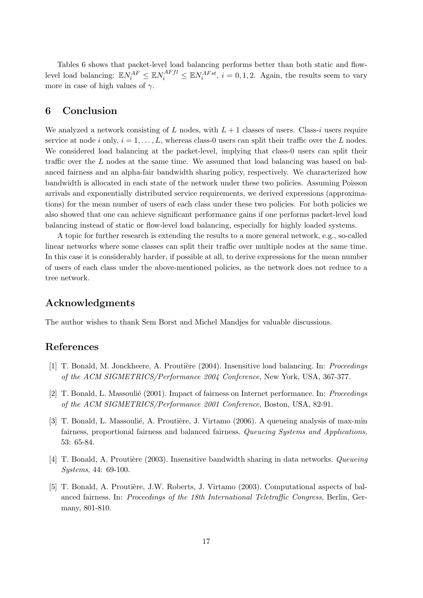Tables 6 shows that packet-level load balancing performs better than both static and flowlevel load balancing:  $\mathbb{E} N_i^{AF} \leq \mathbb{E} N_i^{AFfl} \leq \mathbb{E} N_i^{AFst}$ ,  $i = 0, 1, 2$ . Again, the results seem to vary more in case of high values of  $\gamma$ .

## 6 Conclusion

We analyzed a network consisting of L nodes, with  $L + 1$  classes of users. Class-i users require service at node i only,  $i = 1, \ldots, L$ , whereas class-0 users can split their traffic over the L nodes. We considered load balancing at the packet-level, implying that class-0 users can split their traffic over the L nodes at the same time. We assumed that load balancing was based on balanced fairness and an alpha-fair bandwidth sharing policy, respectively. We characterized how bandwidth is allocated in each state of the network under these two policies. Assuming Poisson arrivals and exponentially distributed service requirements, we derived expressions (approximations) for the mean number of users of each class under these two policies. For both policies we also showed that one can achieve significant performance gains if one performs packet-level load balancing instead of static or flow-level load balancing, especially for highly loaded systems.

A topic for further research is extending the results to a more general network, e.g., so-called linear networks where some classes can split their traffic over multiple nodes at the same time. In this case it is considerably harder, if possible at all, to derive expressions for the mean number of users of each class under the above-mentioned policies, as the network does not reduce to a tree network.

## Acknowledgments

The author wishes to thank Sem Borst and Michel Mandjes for valuable discussions.

## References

- [1] T. Bonald, M. Jonckheere, A. Proutière (2004). Insensitive load balancing. In: *Proceedings* of the ACM SIGMETRICS/Performance 2004 Conference, New York, USA, 367-377.
- [2] T. Bonald, L. Massoulié (2001). Impact of fairness on Internet performance. In: *Proceedings* of the ACM SIGMETRICS/Performance 2001 Conference, Boston, USA, 82-91.
- [3] T. Bonald, L. Massoulié, A. Proutière, J. Virtamo (2006). A queueing analysis of max-min fairness, proportional fairness and balanced fairness. Queueing Systems and Applications, 53: 65-84.
- [4] T. Bonald, A. Proutière (2003). Insensitive bandwidth sharing in data networks. Queueing Systems, 44: 69-100.
- [5] T. Bonald, A. Proutière, J.W. Roberts, J. Virtamo (2003). Computational aspects of balanced fairness. In: Proceedings of the 18th International Teletraffic Congress, Berlin, Germany, 801-810.